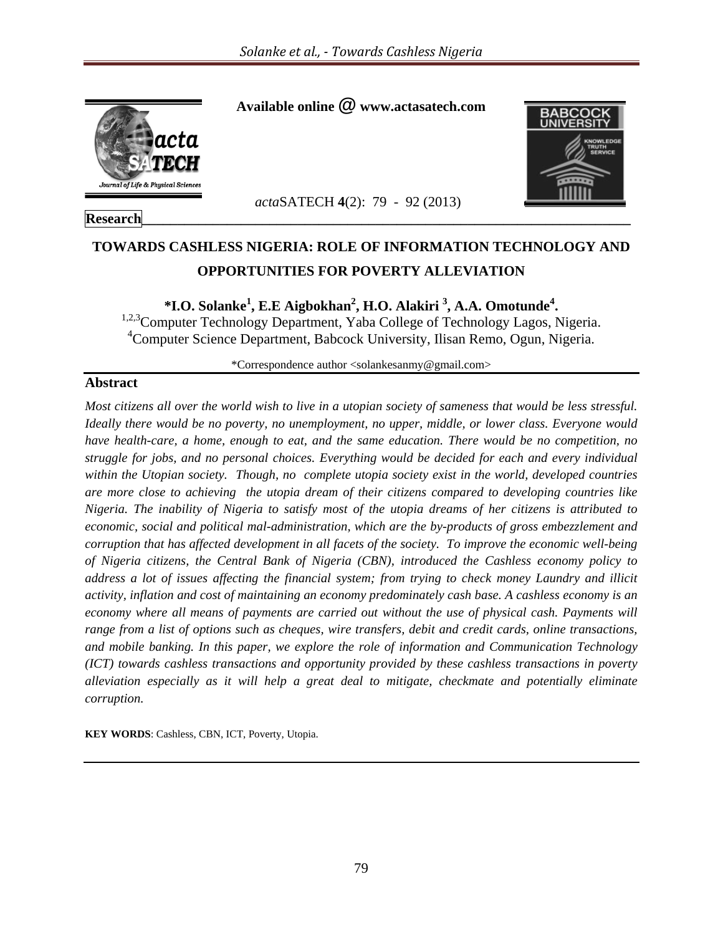

### **Research\_\_\_\_\_\_\_\_\_\_\_\_\_\_\_\_\_\_\_\_\_\_\_\_\_\_\_\_\_\_\_\_\_\_\_\_\_\_\_\_\_\_\_\_\_\_\_\_\_\_\_\_\_\_\_\_\_\_\_\_\_\_\_\_\_\_\_\_\_**

**Available online @ www.actasatech.com** 



# **TOWARDS CASHLESS NIGERIA: ROLE OF INFORMATION TECHNOLOGY AND OPPORTUNITIES FOR POVERTY ALLEVIATION**

 *acta*SATECH **4**(2): 79 - 92 (2013)

**\*I.O. Solanke<sup>1</sup> , E.E Aigbokhan<sup>2</sup> , H.O. Alakiri 3 , A.A. Omotunde<sup>4</sup>**

<sup>1,2,3</sup>Computer Technology Department, Yaba College of Technology Lagos, Nigeria. 4 Computer Science Department, Babcock University, Ilisan Remo, Ogun, Nigeria.

\*Correspondence author <solankesanmy@gmail.com>

#### **Abstract**

*Most citizens all over the world wish to live in a utopian society of sameness that would be less stressful. Ideally there would be no poverty, no unemployment, no upper, middle, or lower class. Everyone would have health-care, a home, enough to eat, and the same education. There would be no competition, no struggle for jobs, and no personal choices. Everything would be decided for each and every individual within the Utopian society. Though, no complete utopia society exist in the world, developed countries are more close to achieving the utopia dream of their citizens compared to developing countries like Nigeria. The inability of Nigeria to satisfy most of the utopia dreams of her citizens is attributed to economic, social and political mal-administration, which are the by-products of gross embezzlement and corruption that has affected development in all facets of the society. To improve the economic well-being of Nigeria citizens, the Central Bank of Nigeria (CBN), introduced the Cashless economy policy to address a lot of issues affecting the financial system; from trying to check money Laundry and illicit activity, inflation and cost of maintaining an economy predominately cash base. A cashless economy is an economy where all means of payments are carried out without the use of physical cash. Payments will range from a list of options such as cheques, wire transfers, debit and credit cards, online transactions, and mobile banking. In this paper, we explore the role of information and Communication Technology (ICT) towards cashless transactions and opportunity provided by these cashless transactions in poverty alleviation especially as it will help a great deal to mitigate, checkmate and potentially eliminate corruption.*

**KEY WORDS**: Cashless, CBN, ICT, Poverty, Utopia.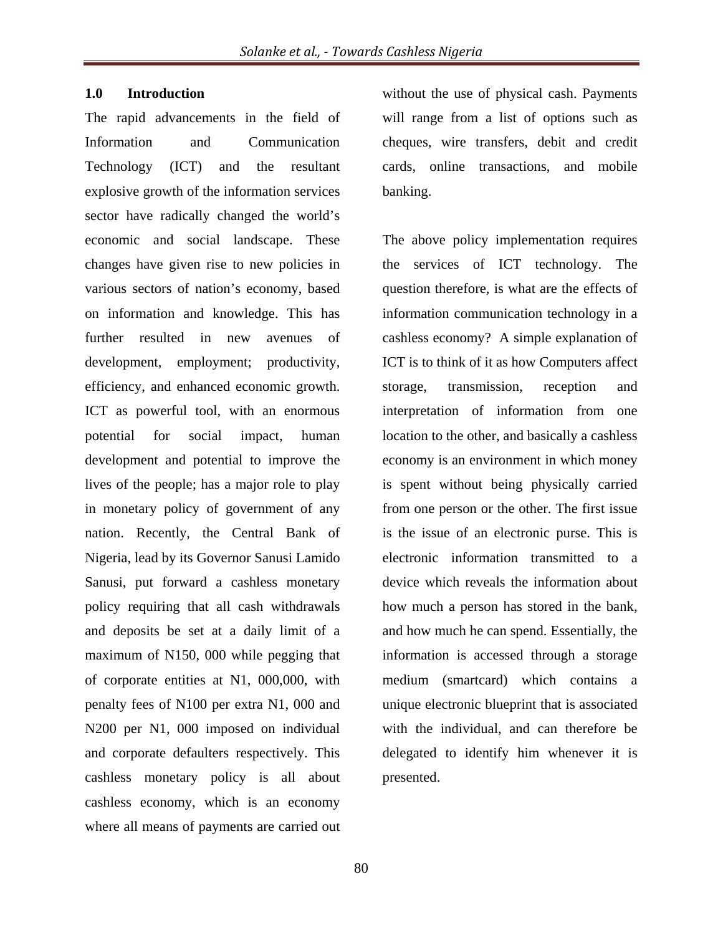#### **1.0 Introduction**

The rapid advancements in the field of Information and Communication Technology (ICT) and the resultant explosive growth of the information services sector have radically changed the world's economic and social landscape. These changes have given rise to new policies in various sectors of nation's economy, based on information and knowledge. This has further resulted in new avenues of development, employment; productivity, efficiency, and enhanced economic growth. ICT as powerful tool, with an enormous potential for social impact, human development and potential to improve the lives of the people; has a major role to play in monetary policy of government of any nation. Recently, the Central Bank of Nigeria, lead by its Governor Sanusi Lamido Sanusi, put forward a cashless monetary policy requiring that all cash withdrawals and deposits be set at a daily limit of a maximum of N150, 000 while pegging that of corporate entities at N1, 000,000, with penalty fees of N100 per extra N1, 000 and N200 per N1, 000 imposed on individual and corporate defaulters respectively. This cashless monetary policy is all about cashless economy, which is an economy where all means of payments are carried out

without the use of physical cash. Payments will range from a list of options such as cheques, wire transfers, debit and credit cards, online transactions, and mobile banking.

The above policy implementation requires the services of ICT technology. The question therefore, is what are the effects of information communication technology in a cashless economy? A simple explanation of ICT is to think of it as how Computers affect storage, transmission, reception and interpretation of information from one location to the other, and basically a cashless economy is an environment in which money is spent without being physically carried from one person or the other. The first issue is the issue of an electronic purse. This is electronic information transmitted to a device which reveals the information about how much a person has stored in the bank, and how much he can spend. Essentially, the information is accessed through a storage medium (smartcard) which contains a unique electronic blueprint that is associated with the individual, and can therefore be delegated to identify him whenever it is presented.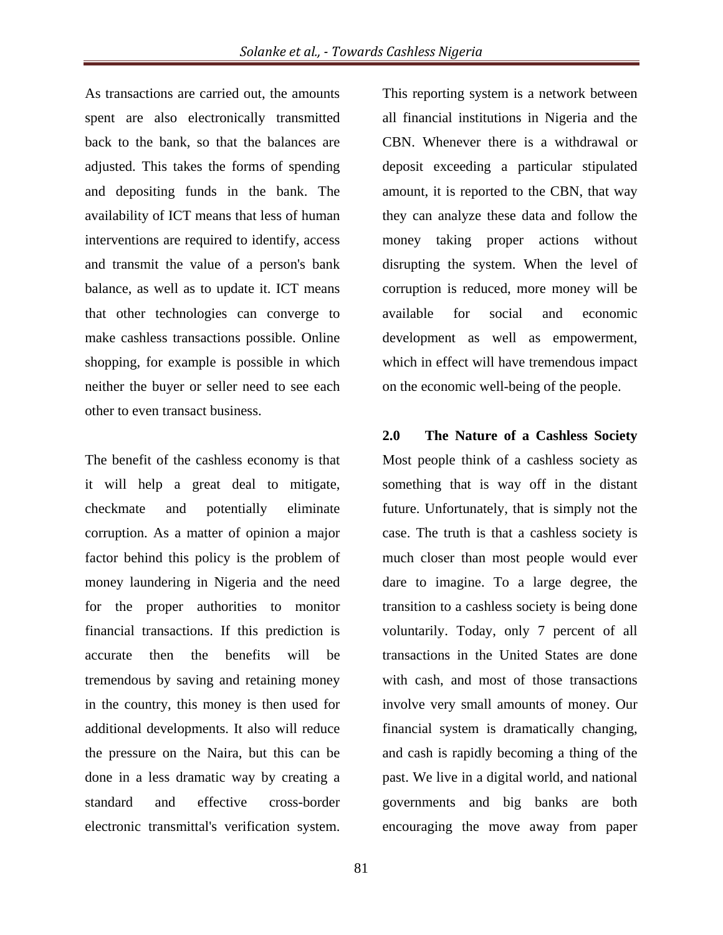As transactions are carried out, the amounts spent are also electronically transmitted back to the bank, so that the balances are adjusted. This takes the forms of spending and depositing funds in the bank. The availability of ICT means that less of human interventions are required to identify, access and transmit the value of a person's bank balance, as well as to update it. ICT means that other technologies can converge to make cashless transactions possible. Online shopping, for example is possible in which neither the buyer or seller need to see each other to even transact business.

The benefit of the cashless economy is that it will help a great deal to mitigate, checkmate and potentially eliminate corruption. As a matter of opinion a major factor behind this policy is the problem of money laundering in Nigeria and the need for the proper authorities to monitor financial transactions. If this prediction is accurate then the benefits will be tremendous by saving and retaining money in the country, this money is then used for additional developments. It also will reduce the pressure on the Naira, but this can be done in a less dramatic way by creating a standard and effective cross-border electronic transmittal's verification system.

This reporting system is a network between all financial institutions in Nigeria and the CBN. Whenever there is a withdrawal or deposit exceeding a particular stipulated amount, it is reported to the CBN, that way they can analyze these data and follow the money taking proper actions without disrupting the system. When the level of corruption is reduced, more money will be available for social and economic development as well as empowerment, which in effect will have tremendous impact on the economic well-being of the people.

**2.0 The Nature of a Cashless Society**  Most people think of a cashless society as something that is way off in the distant future. Unfortunately, that is simply not the case. The truth is that a cashless society is much closer than most people would ever dare to imagine. To a large degree, the transition to a cashless society is being done voluntarily. Today, only 7 percent of all transactions in the United States are done with cash, and most of those transactions involve very small amounts of money. Our financial system is dramatically changing, and cash is rapidly becoming a thing of the past. We live in a digital world, and national governments and big banks are both encouraging the move away from paper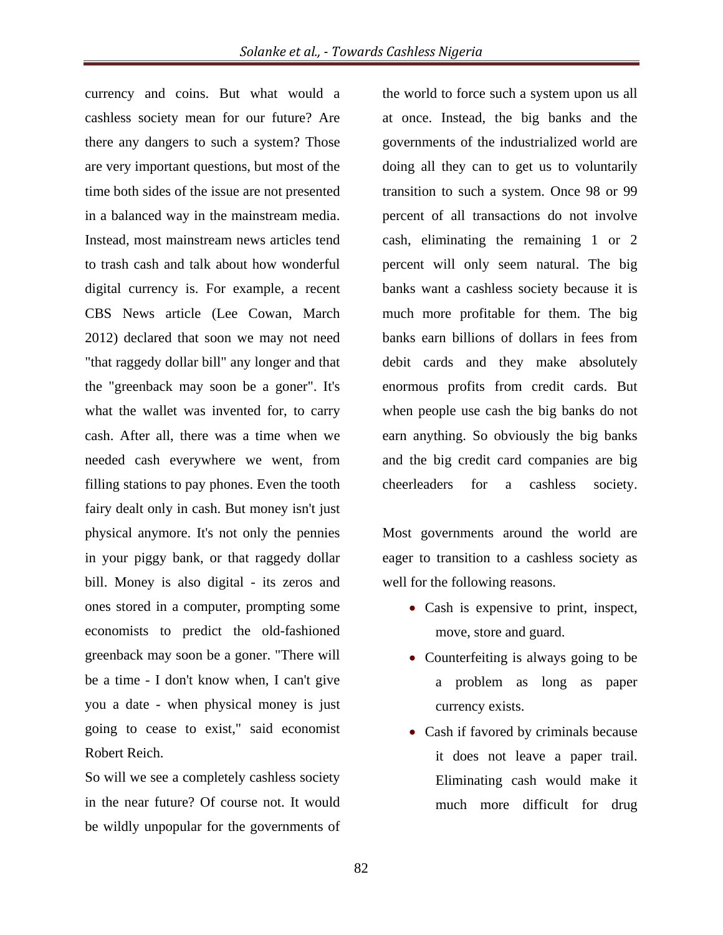currency and coins. But what would a cashless society mean for our future? Are there any dangers to such a system? Those are very important questions, but most of the time both sides of the issue are not presented in a balanced way in the mainstream media. Instead, most mainstream news articles tend to trash cash and talk about how wonderful digital currency is. For example, a recent CBS News article (Lee Cowan, March 2012) declared that soon we may not need "that raggedy dollar bill" any longer and that the "greenback may soon be a goner". It's what the wallet was invented for, to carry cash. After all, there was a time when we needed cash everywhere we went, from filling stations to pay phones. Even the tooth fairy dealt only in cash. But money isn't just physical anymore. It's not only the pennies in your piggy bank, or that raggedy dollar bill. Money is also digital - its zeros and ones stored in a computer, prompting some economists to predict the old-fashioned greenback may soon be a goner. "There will be a time - I don't know when, I can't give you a date - when physical money is just going to cease to exist," said economist Robert Reich.

So will we see a completely cashless society in the near future? Of course not. It would be wildly unpopular for the governments of the world to force such a system upon us all at once. Instead, the big banks and the governments of the industrialized world are doing all they can to get us to voluntarily transition to such a system. Once 98 or 99 percent of all transactions do not involve cash, eliminating the remaining 1 or 2 percent will only seem natural. The big banks want a cashless society because it is much more profitable for them. The big banks earn billions of dollars in fees from debit cards and they make absolutely enormous profits from credit cards. But when people use cash the big banks do not earn anything. So obviously the big banks and the big credit card companies are big cheerleaders for a cashless society.

Most governments around the world are eager to transition to a cashless society as well for the following reasons.

- Cash is expensive to print, inspect, move, store and guard.
- Counterfeiting is always going to be a problem as long as paper currency exists.
- Cash if favored by criminals because it does not leave a paper trail. Eliminating cash would make it much more difficult for drug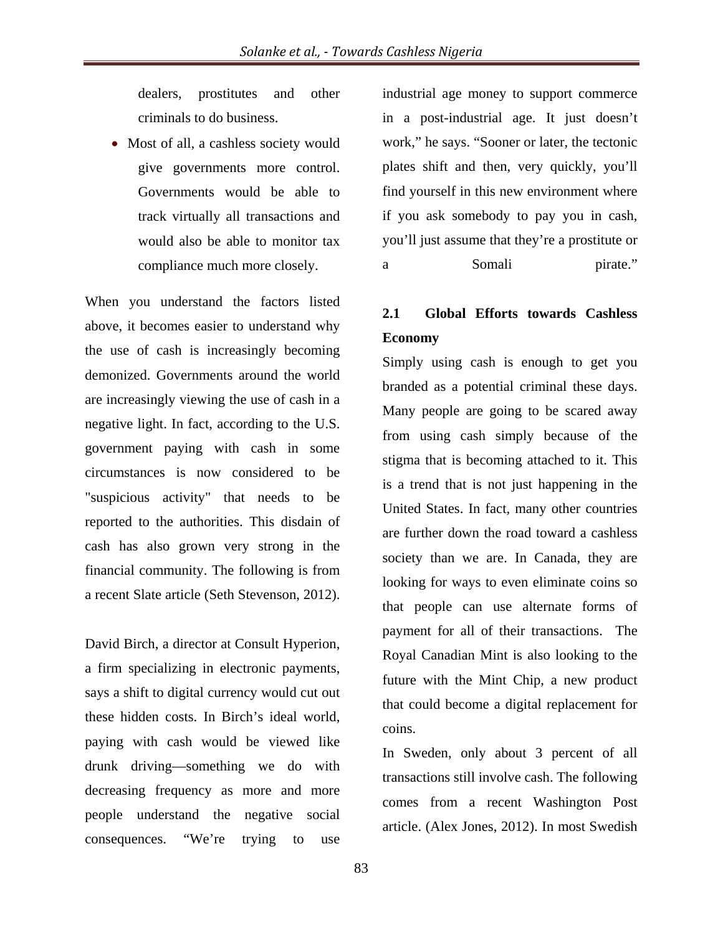dealers, prostitutes and other criminals to do business.

• Most of all, a cashless society would give governments more control. Governments would be able to track virtually all transactions and would also be able to monitor tax compliance much more closely.

When you understand the factors listed above, it becomes easier to understand why the use of cash is increasingly becoming demonized. Governments around the world are increasingly viewing the use of cash in a negative light. In fact, according to the U.S. government paying with cash in some circumstances is now considered to be "suspicious activity" that needs to be reported to the authorities. This disdain of cash has also grown very strong in the financial community. The following is from a recent Slate article (Seth Stevenson, 2012).

David Birch, a director at Consult Hyperion, a firm specializing in electronic payments, says a shift to digital currency would cut out these hidden costs. In Birch's ideal world, paying with cash would be viewed like drunk driving—something we do with decreasing frequency as more and more people understand the negative social consequences. "We're trying to use

industrial age money to support commerce in a post-industrial age. It just doesn't work," he says. "Sooner or later, the tectonic plates shift and then, very quickly, you'll find yourself in this new environment where if you ask somebody to pay you in cash, you'll just assume that they're a prostitute or a Somali pirate."

# **2.1 Global Efforts towards Cashless Economy**

Simply using cash is enough to get you branded as a potential criminal these days. Many people are going to be scared away from using cash simply because of the stigma that is becoming attached to it. This is a trend that is not just happening in the United States. In fact, many other countries are further down the road toward a cashless society than we are. In Canada, they are looking for ways to even eliminate coins so that people can use alternate forms of payment for all of their transactions. The Royal Canadian Mint is also looking to the future with the Mint Chip, a new product that could become a digital replacement for coins.

In Sweden, only about 3 percent of all transactions still involve cash. The following comes from a recent Washington Post article. (Alex Jones, 2012). In most Swedish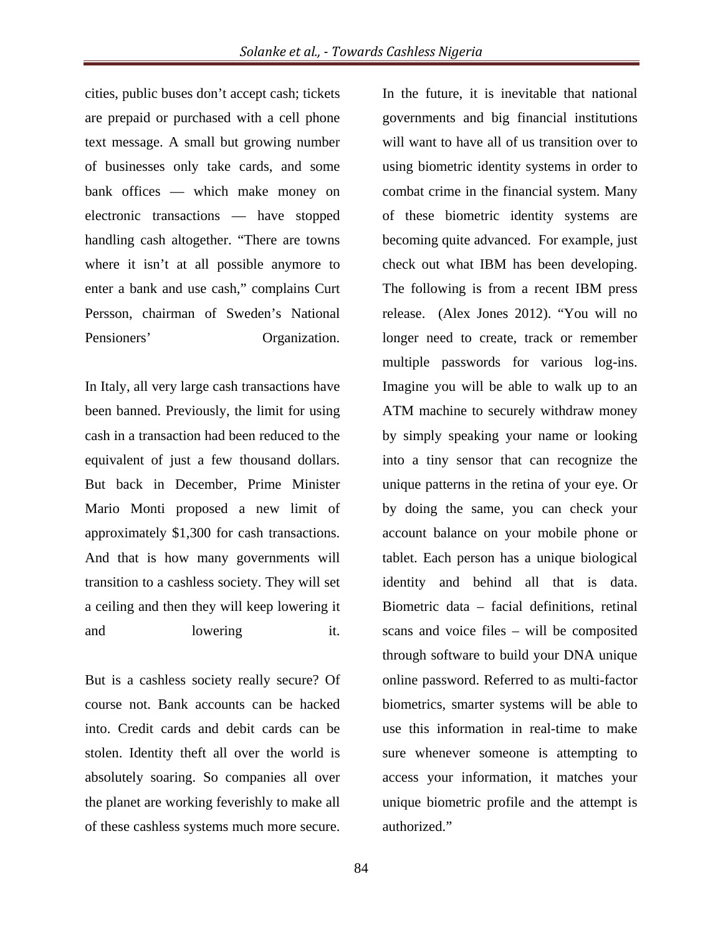cities, public buses don't accept cash; tickets are prepaid or purchased with a cell phone text message. A small but growing number of businesses only take cards, and some bank offices — which make money on electronic transactions — have stopped handling cash altogether. "There are towns where it isn't at all possible anymore to enter a bank and use cash," complains Curt Persson, chairman of Sweden's National Pensioners' Organization.

In Italy, all very large cash transactions have been banned. Previously, the limit for using cash in a transaction had been reduced to the equivalent of just a few thousand dollars. But back in December, Prime Minister Mario Monti proposed a new limit of approximately \$1,300 for cash transactions. And that is how many governments will transition to a cashless society. They will set a ceiling and then they will keep lowering it and lowering it.

But is a cashless society really secure? Of course not. Bank accounts can be hacked into. Credit cards and debit cards can be stolen. Identity theft all over the world is absolutely soaring. So companies all over the planet are working feverishly to make all of these cashless systems much more secure.

In the future, it is inevitable that national governments and big financial institutions will want to have all of us transition over to using biometric identity systems in order to combat crime in the financial system. Many of these biometric identity systems are becoming quite advanced. For example, just check out what IBM has been developing. The following is from a recent IBM press release. (Alex Jones 2012). "You will no longer need to create, track or remember multiple passwords for various log-ins. Imagine you will be able to walk up to an ATM machine to securely withdraw money by simply speaking your name or looking into a tiny sensor that can recognize the unique patterns in the retina of your eye. Or by doing the same, you can check your account balance on your mobile phone or tablet. Each person has a unique biological identity and behind all that is data. Biometric data – facial definitions, retinal scans and voice files – will be composited through software to build your DNA unique online password. Referred to as multi-factor biometrics, smarter systems will be able to use this information in real-time to make sure whenever someone is attempting to access your information, it matches your unique biometric profile and the attempt is authorized."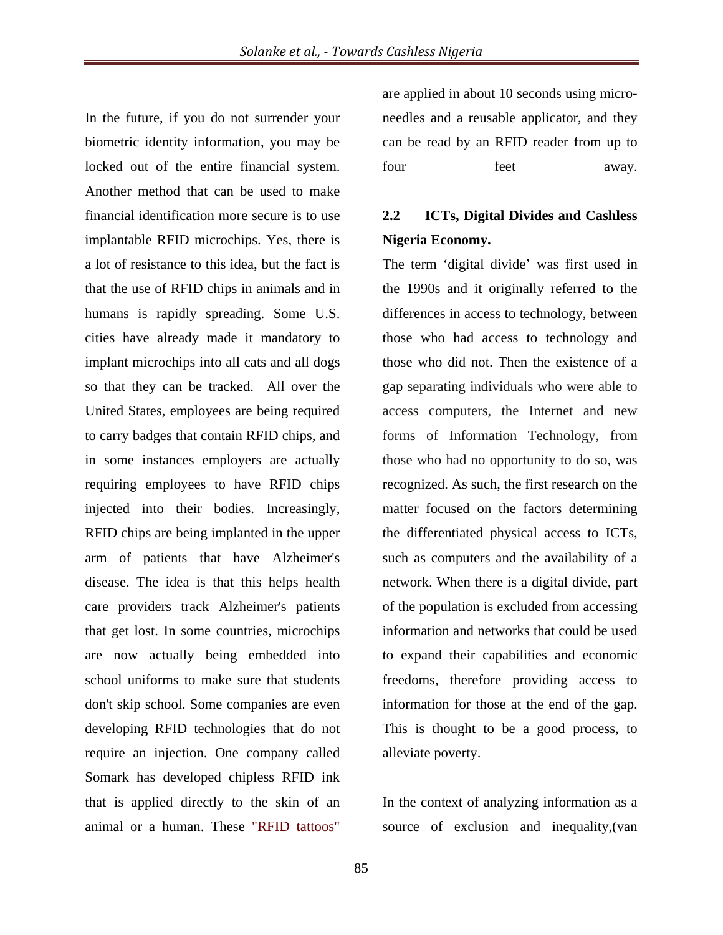In the future, if you do not surrender your biometric identity information, you may be locked out of the entire financial system. Another method that can be used to make financial identification more secure is to use implantable RFID microchips. Yes, there is a lot of resistance to this idea, but the fact is that the use of RFID chips in animals and in humans is rapidly spreading. Some U.S. cities have already made it mandatory to implant microchips into all cats and all dogs so that they can be tracked. All over the United States, employees are being required to carry badges that contain RFID chips, and in some instances employers are actually requiring employees to have RFID chips injected into their bodies. Increasingly, RFID chips are being implanted in the upper arm of patients that have Alzheimer's disease. The idea is that this helps health care providers track Alzheimer's patients that get lost. In some countries, microchips are now actually being embedded into school uniforms to make sure that students don't skip school. Some companies are even developing RFID technologies that do not require an injection. One company called Somark has developed chipless RFID ink that is applied directly to the skin of an animal or a human. These "RFID tattoos"

are applied in about 10 seconds using microneedles and a reusable applicator, and they can be read by an RFID reader from up to four feet away.

# **2.2 ICTs, Digital Divides and Cashless Nigeria Economy.**

The term 'digital divide' was first used in the 1990s and it originally referred to the differences in access to technology, between those who had access to technology and those who did not. Then the existence of a gap separating individuals who were able to access computers, the Internet and new forms of Information Technology, from those who had no opportunity to do so, was recognized. As such, the first research on the matter focused on the factors determining the differentiated physical access to ICTs, such as computers and the availability of a network. When there is a digital divide, part of the population is excluded from accessing information and networks that could be used to expand their capabilities and economic freedoms, therefore providing access to information for those at the end of the gap. This is thought to be a good process, to alleviate poverty.

In the context of analyzing information as a source of exclusion and inequality,(van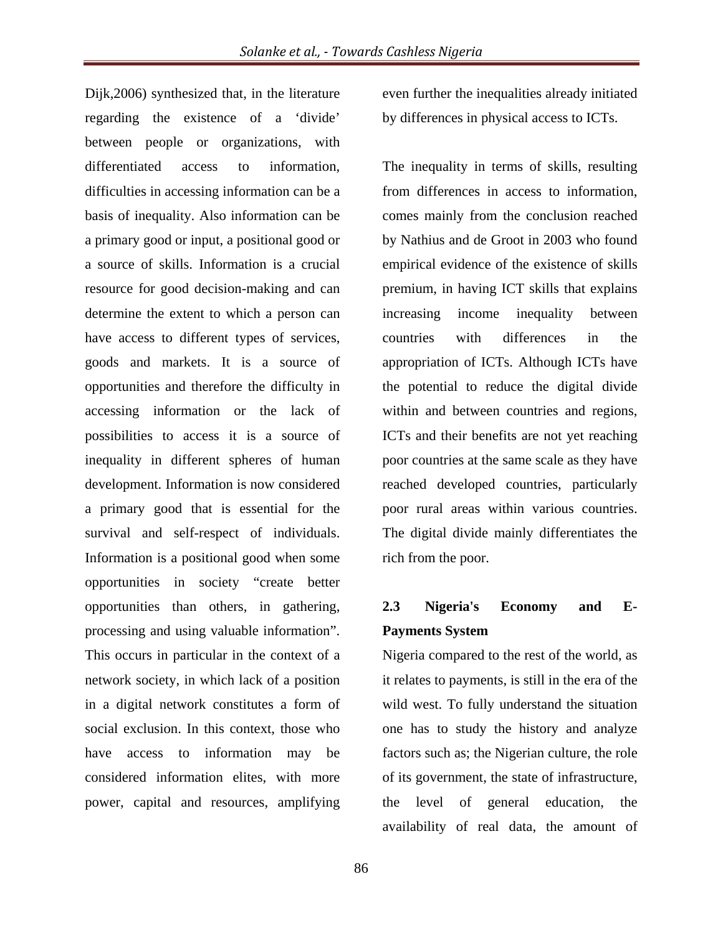Dijk,2006) synthesized that, in the literature regarding the existence of a 'divide' between people or organizations, with differentiated access to information, difficulties in accessing information can be a basis of inequality. Also information can be a primary good or input, a positional good or a source of skills. Information is a crucial resource for good decision-making and can determine the extent to which a person can have access to different types of services, goods and markets. It is a source of opportunities and therefore the difficulty in accessing information or the lack of possibilities to access it is a source of inequality in different spheres of human development. Information is now considered a primary good that is essential for the survival and self-respect of individuals. Information is a positional good when some opportunities in society "create better opportunities than others, in gathering, processing and using valuable information". This occurs in particular in the context of a network society, in which lack of a position in a digital network constitutes a form of social exclusion. In this context, those who have access to information may be considered information elites, with more power, capital and resources, amplifying

even further the inequalities already initiated by differences in physical access to ICTs.

The inequality in terms of skills, resulting from differences in access to information, comes mainly from the conclusion reached by Nathius and de Groot in 2003 who found empirical evidence of the existence of skills premium, in having ICT skills that explains increasing income inequality between countries with differences in the appropriation of ICTs. Although ICTs have the potential to reduce the digital divide within and between countries and regions, ICTs and their benefits are not yet reaching poor countries at the same scale as they have reached developed countries, particularly poor rural areas within various countries. The digital divide mainly differentiates the rich from the poor.

### **2.3 Nigeria's Economy and E-Payments System**

Nigeria compared to the rest of the world, as it relates to payments, is still in the era of the wild west. To fully understand the situation one has to study the history and analyze factors such as; the Nigerian culture, the role of its government, the state of infrastructure, the level of general education, the availability of real data, the amount of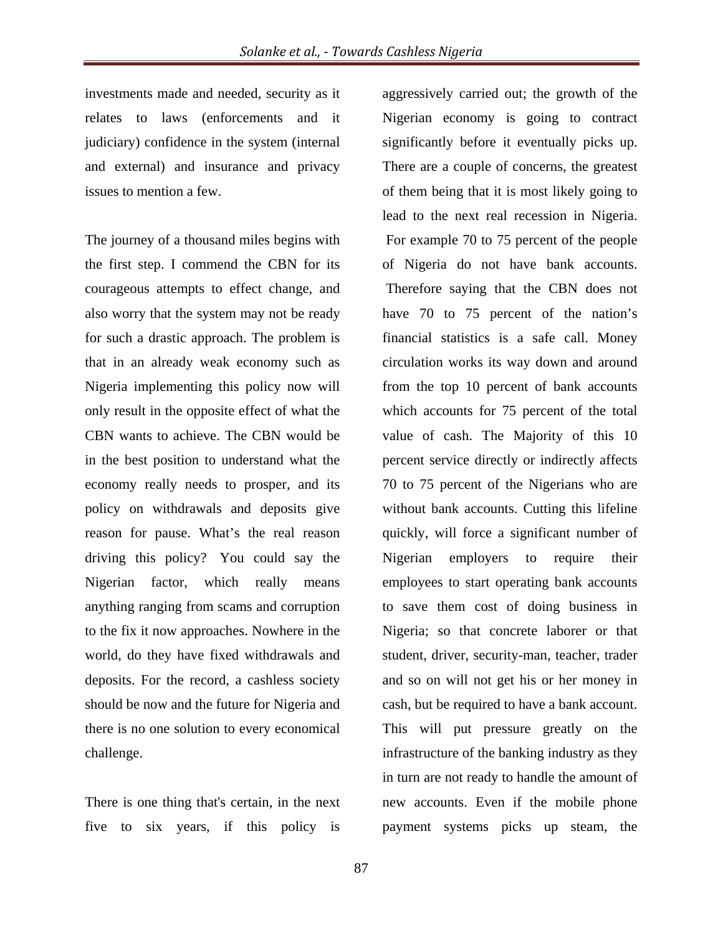investments made and needed, security as it relates to laws (enforcements and it judiciary) confidence in the system (internal and external) and insurance and privacy issues to mention a few.

The journey of a thousand miles begins with the first step. I commend the CBN for its courageous attempts to effect change, and also worry that the system may not be ready for such a drastic approach. The problem is that in an already weak economy such as Nigeria implementing this policy now will only result in the opposite effect of what the CBN wants to achieve. The CBN would be in the best position to understand what the economy really needs to prosper, and its policy on withdrawals and deposits give reason for pause. What's the real reason driving this policy? You could say the Nigerian factor, which really means anything ranging from scams and corruption to the fix it now approaches. Nowhere in the world, do they have fixed withdrawals and deposits. For the record, a cashless society should be now and the future for Nigeria and there is no one solution to every economical challenge.

There is one thing that's certain, in the next five to six years, if this policy is

aggressively carried out; the growth of the Nigerian economy is going to contract significantly before it eventually picks up. There are a couple of concerns, the greatest of them being that it is most likely going to lead to the next real recession in Nigeria. For example 70 to 75 percent of the people of Nigeria do not have bank accounts. Therefore saying that the CBN does not have 70 to 75 percent of the nation's financial statistics is a safe call. Money circulation works its way down and around from the top 10 percent of bank accounts which accounts for 75 percent of the total value of cash. The Majority of this 10 percent service directly or indirectly affects 70 to 75 percent of the Nigerians who are without bank accounts. Cutting this lifeline quickly, will force a significant number of Nigerian employers to require their employees to start operating bank accounts to save them cost of doing business in Nigeria; so that concrete laborer or that student, driver, security-man, teacher, trader and so on will not get his or her money in cash, but be required to have a bank account. This will put pressure greatly on the infrastructure of the banking industry as they in turn are not ready to handle the amount of new accounts. Even if the mobile phone payment systems picks up steam, the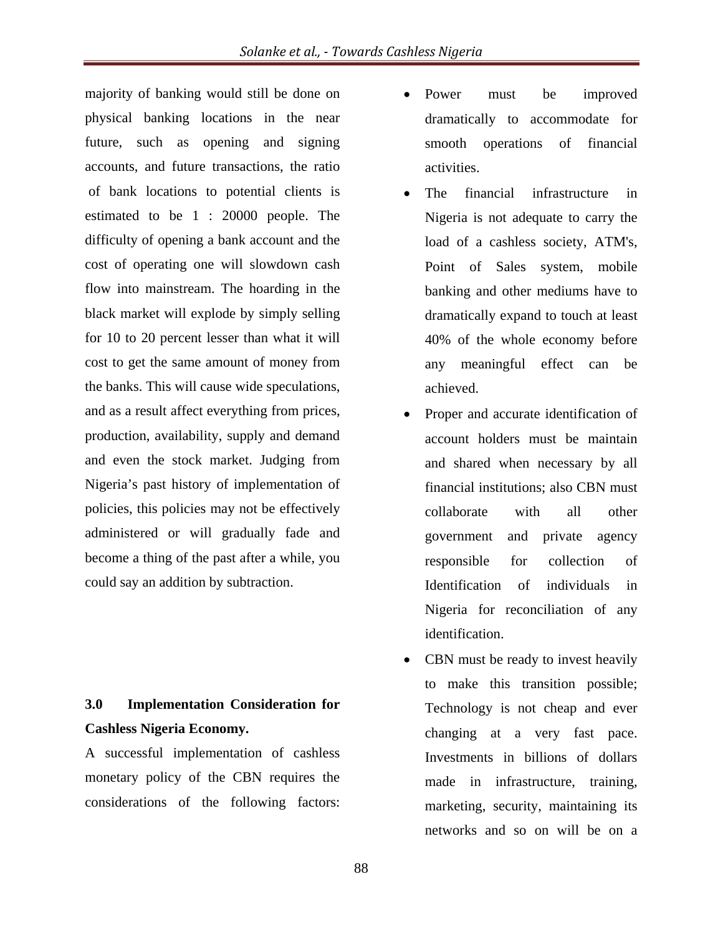majority of banking would still be done on physical banking locations in the near future, such as opening and signing accounts, and future transactions, the ratio of bank locations to potential clients is estimated to be 1 : 20000 people. The difficulty of opening a bank account and the cost of operating one will slowdown cash flow into mainstream. The hoarding in the black market will explode by simply selling for 10 to 20 percent lesser than what it will cost to get the same amount of money from the banks. This will cause wide speculations, and as a result affect everything from prices, production, availability, supply and demand and even the stock market. Judging from Nigeria's past history of implementation of policies, this policies may not be effectively administered or will gradually fade and become a thing of the past after a while, you could say an addition by subtraction.

### **3.0 Implementation Consideration for Cashless Nigeria Economy.**

A successful implementation of cashless monetary policy of the CBN requires the considerations of the following factors:

- Power must be improved dramatically to accommodate for smooth operations of financial activities.
- The financial infrastructure in Nigeria is not adequate to carry the load of a cashless society, ATM's, Point of Sales system, mobile banking and other mediums have to dramatically expand to touch at least 40% of the whole economy before any meaningful effect can be achieved.
- Proper and accurate identification of account holders must be maintain and shared when necessary by all financial institutions; also CBN must collaborate with all other government and private agency responsible for collection of Identification of individuals in Nigeria for reconciliation of any identification.
- CBN must be ready to invest heavily to make this transition possible; Technology is not cheap and ever changing at a very fast pace. Investments in billions of dollars made in infrastructure, training, marketing, security, maintaining its networks and so on will be on a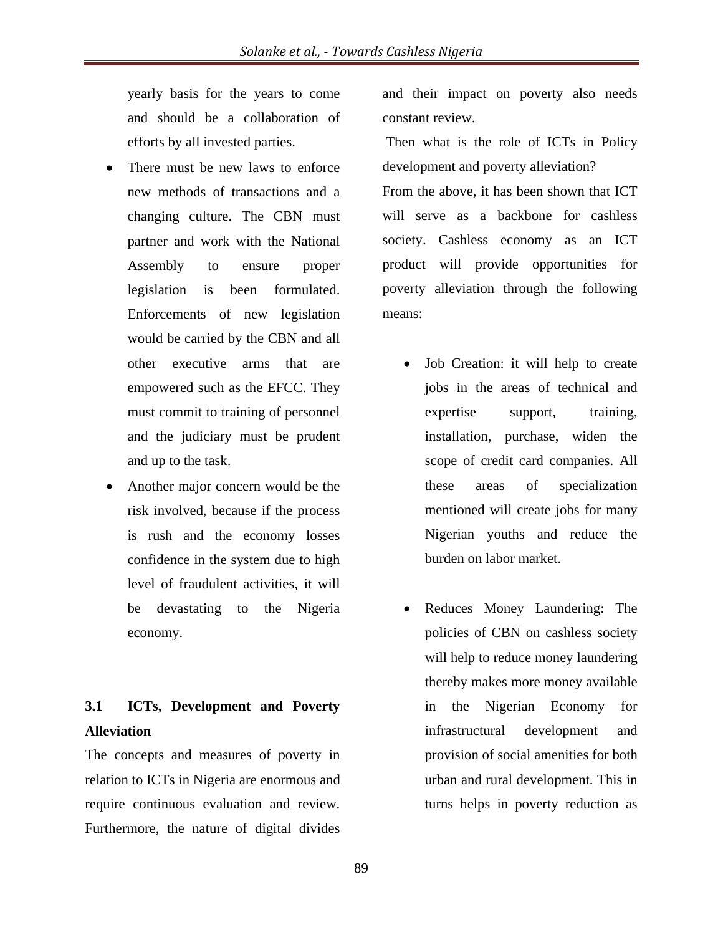yearly basis for the years to come and should be a collaboration of efforts by all invested parties.

- There must be new laws to enforce new methods of transactions and a changing culture. The CBN must partner and work with the National Assembly to ensure proper legislation is been formulated. Enforcements of new legislation would be carried by the CBN and all other executive arms that are empowered such as the EFCC. They must commit to training of personnel and the judiciary must be prudent and up to the task.
- Another major concern would be the risk involved, because if the process is rush and the economy losses confidence in the system due to high level of fraudulent activities, it will be devastating to the Nigeria economy.

# **3.1 ICTs, Development and Poverty Alleviation**

The concepts and measures of poverty in relation to ICTs in Nigeria are enormous and require continuous evaluation and review. Furthermore, the nature of digital divides

and their impact on poverty also needs constant review.

 Then what is the role of ICTs in Policy development and poverty alleviation? From the above, it has been shown that ICT will serve as a backbone for cashless society. Cashless economy as an ICT product will provide opportunities for poverty alleviation through the following means:

- Job Creation: it will help to create jobs in the areas of technical and expertise support, training, installation, purchase, widen the scope of credit card companies. All these areas of specialization mentioned will create jobs for many Nigerian youths and reduce the burden on labor market.
- Reduces Money Laundering: The policies of CBN on cashless society will help to reduce money laundering thereby makes more money available in the Nigerian Economy for infrastructural development and provision of social amenities for both urban and rural development. This in turns helps in poverty reduction as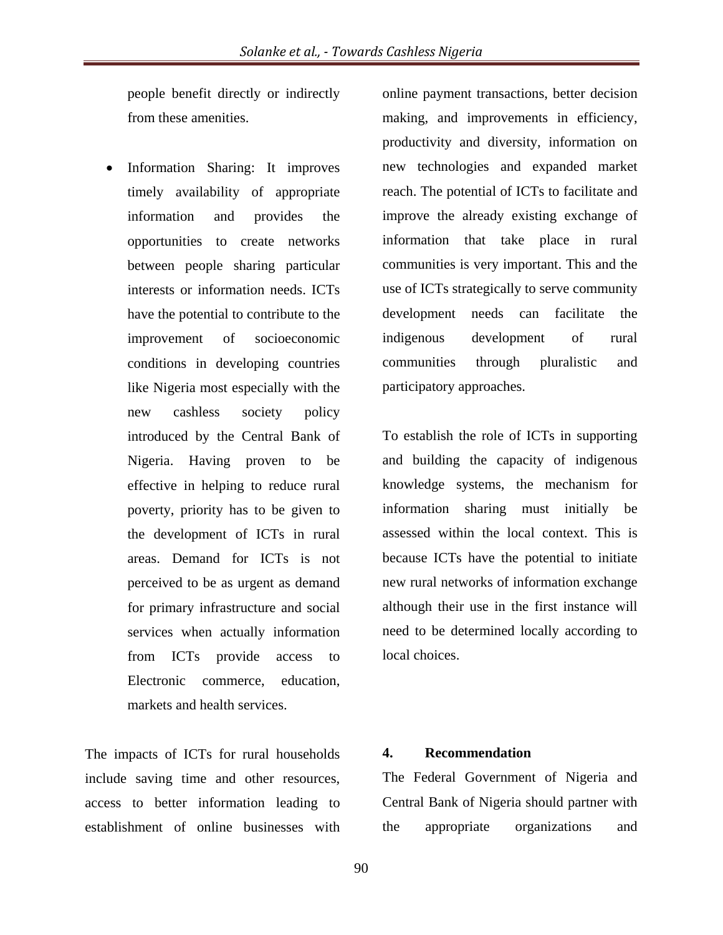people benefit directly or indirectly from these amenities.

 Information Sharing: It improves timely availability of appropriate information and provides the opportunities to create networks between people sharing particular interests or information needs. ICTs have the potential to contribute to the improvement of socioeconomic conditions in developing countries like Nigeria most especially with the new cashless society policy introduced by the Central Bank of Nigeria. Having proven to be effective in helping to reduce rural poverty, priority has to be given to the development of ICTs in rural areas. Demand for ICTs is not perceived to be as urgent as demand for primary infrastructure and social services when actually information from ICTs provide access to Electronic commerce, education, markets and health services.

The impacts of ICTs for rural households include saving time and other resources, access to better information leading to establishment of online businesses with

online payment transactions, better decision making, and improvements in efficiency, productivity and diversity, information on new technologies and expanded market reach. The potential of ICTs to facilitate and improve the already existing exchange of information that take place in rural communities is very important. This and the use of ICTs strategically to serve community development needs can facilitate the indigenous development of rural communities through pluralistic and participatory approaches.

To establish the role of ICTs in supporting and building the capacity of indigenous knowledge systems, the mechanism for information sharing must initially be assessed within the local context. This is because ICTs have the potential to initiate new rural networks of information exchange although their use in the first instance will need to be determined locally according to local choices.

### **4. Recommendation**

The Federal Government of Nigeria and Central Bank of Nigeria should partner with the appropriate organizations and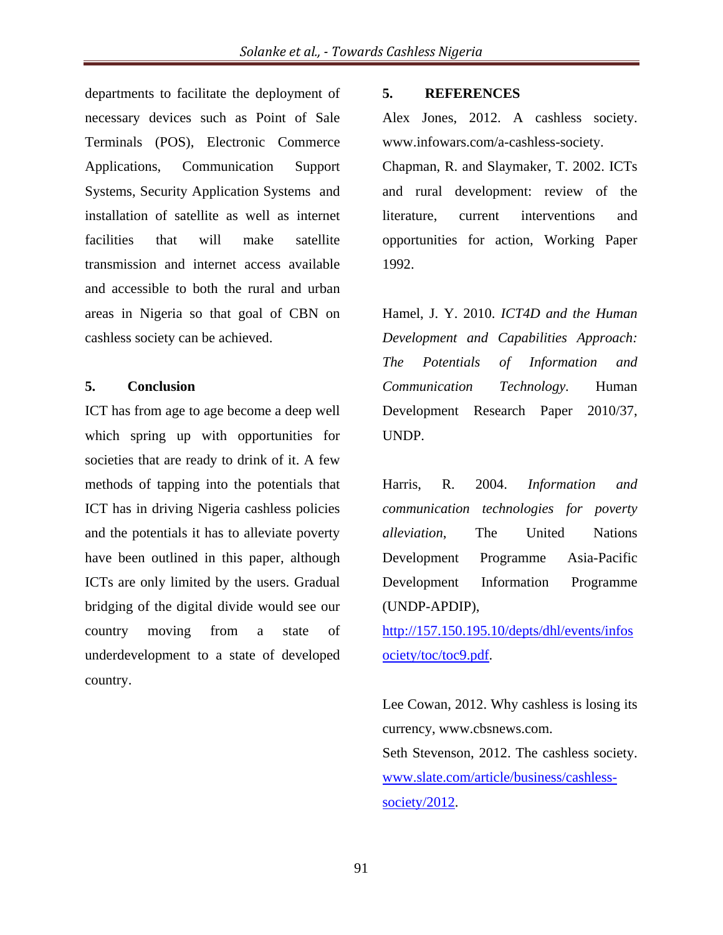departments to facilitate the deployment of necessary devices such as Point of Sale Terminals (POS), Electronic Commerce Applications, Communication Support Systems, Security Application Systems and installation of satellite as well as internet facilities that will make satellite transmission and internet access available and accessible to both the rural and urban areas in Nigeria so that goal of CBN on cashless society can be achieved.

### **5. Conclusion**

ICT has from age to age become a deep well which spring up with opportunities for societies that are ready to drink of it. A few methods of tapping into the potentials that ICT has in driving Nigeria cashless policies and the potentials it has to alleviate poverty have been outlined in this paper, although ICTs are only limited by the users. Gradual bridging of the digital divide would see our country moving from a state of underdevelopment to a state of developed country.

### **5. REFERENCES**

Alex Jones, 2012. A cashless society. www.infowars.com/a-cashless-society. Chapman, R. and Slaymaker, T. 2002. ICTs and rural development: review of the literature, current interventions and opportunities for action, Working Paper 1992.

Hamel, J. Y. 2010. *ICT4D and the Human Development and Capabilities Approach: The Potentials of Information and Communication Technology.* Human Development Research Paper 2010/37, UNDP.

Harris, R. 2004. *Information and communication technologies for poverty alleviation*, The United Nations Development Programme Asia-Pacific Development Information Programme (UNDP-APDIP), http://157.150.195.10/depts/dhl/events/infos

ociety/toc/toc9.pdf.

Lee Cowan, 2012. Why cashless is losing its currency, www.cbsnews.com. Seth Stevenson, 2012. The cashless society. www.slate.com/article/business/cashlesssociety/2012.